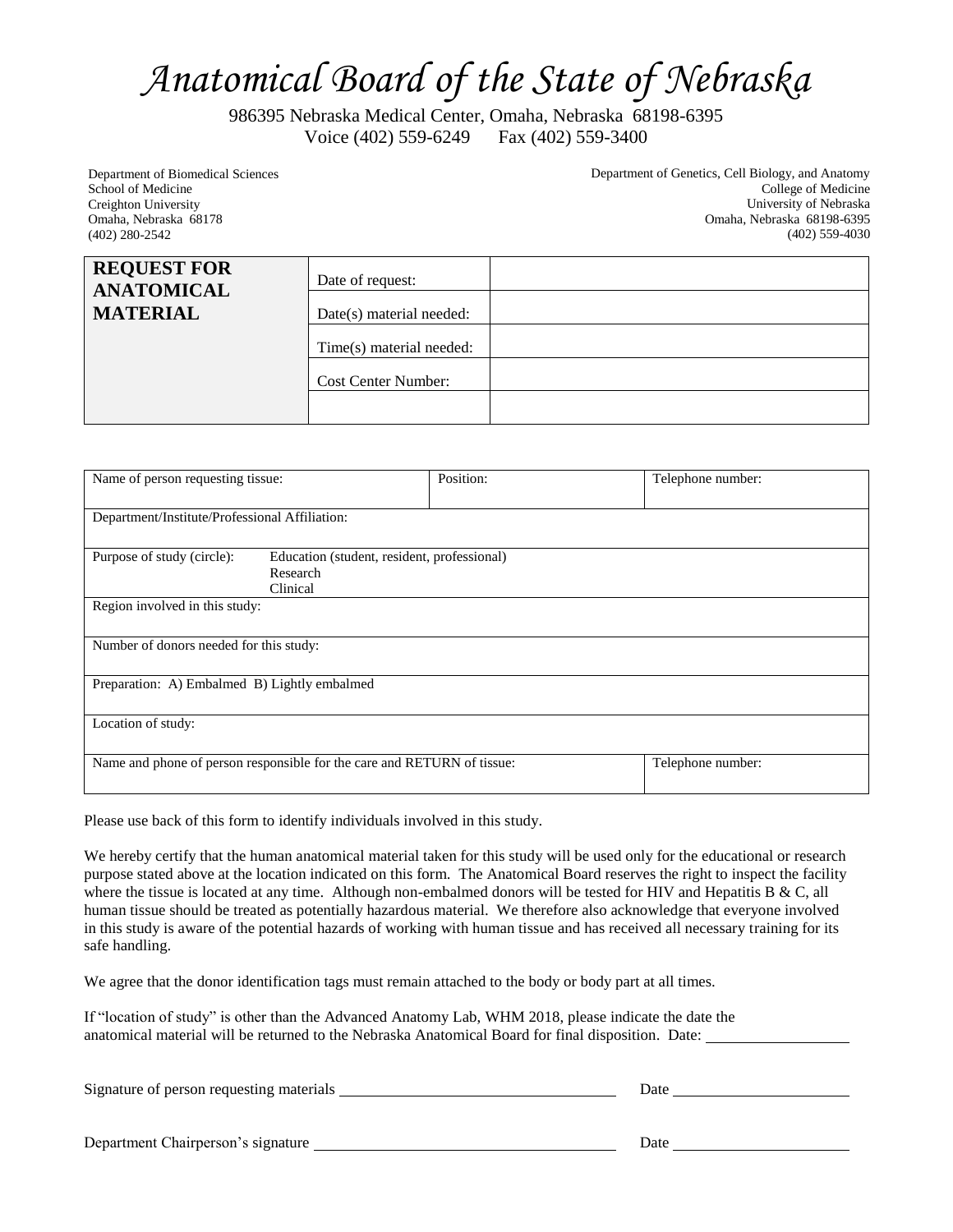## *Anatomical Board of the State of Nebraska*

986395 Nebraska Medical Center, Omaha, Nebraska 68198-6395 Voice (402) 559-6249 Fax (402) 559-3400

Department of Biomedical Sciences School of Medicine Creighton University Omaha, Nebraska 68178 (402) 280-2542

Department of Genetics, Cell Biology, and Anatomy College of Medicine University of Nebraska Omaha, Nebraska 68198-6395 (402) 559-4030

| <b>REQUEST FOR</b><br><b>ANATOMICAL</b><br><b>MATERIAL</b> | Date of request:<br>Date(s) material needed:<br>Time(s) material needed: |
|------------------------------------------------------------|--------------------------------------------------------------------------|
|                                                            | <b>Cost Center Number:</b>                                               |

| Name of person requesting tissue:                                       |                                                                     | Position: | Telephone number: |  |  |  |
|-------------------------------------------------------------------------|---------------------------------------------------------------------|-----------|-------------------|--|--|--|
| Department/Institute/Professional Affiliation:                          |                                                                     |           |                   |  |  |  |
| Purpose of study (circle):                                              | Education (student, resident, professional)<br>Research<br>Clinical |           |                   |  |  |  |
| Region involved in this study:                                          |                                                                     |           |                   |  |  |  |
| Number of donors needed for this study:                                 |                                                                     |           |                   |  |  |  |
| Preparation: A) Embalmed B) Lightly embalmed                            |                                                                     |           |                   |  |  |  |
| Location of study:                                                      |                                                                     |           |                   |  |  |  |
| Name and phone of person responsible for the care and RETURN of tissue: |                                                                     |           | Telephone number: |  |  |  |

Please use back of this form to identify individuals involved in this study.

We hereby certify that the human anatomical material taken for this study will be used only for the educational or research purpose stated above at the location indicated on this form. The Anatomical Board reserves the right to inspect the facility where the tissue is located at any time. Although non-embalmed donors will be tested for HIV and Hepatitis B  $\&$  C, all human tissue should be treated as potentially hazardous material. We therefore also acknowledge that everyone involved in this study is aware of the potential hazards of working with human tissue and has received all necessary training for its safe handling.

We agree that the donor identification tags must remain attached to the body or body part at all times.

If "location of study" is other than the Advanced Anatomy Lab, WHM 2018, please indicate the date the anatomical material will be returned to the Nebraska Anatomical Board for final disposition. Date:

|                                    | Date |  |
|------------------------------------|------|--|
| Department Chairperson's signature | Date |  |